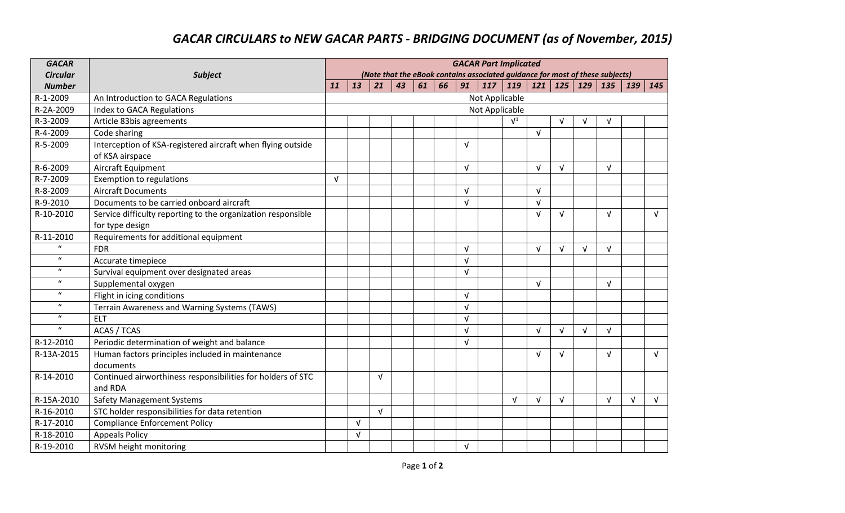## *GACAR CIRCULARS to NEW GACAR PARTS - BRIDGING DOCUMENT (as of November, 2015)*

| <b>GACAR</b>     |                                                                                 | <b>GACAR Part Implicated</b><br>(Note that the eBook contains associated guidance for most of these subjects) |            |            |    |    |    |            |                |                |            |            |            |            |            |            |
|------------------|---------------------------------------------------------------------------------|---------------------------------------------------------------------------------------------------------------|------------|------------|----|----|----|------------|----------------|----------------|------------|------------|------------|------------|------------|------------|
| <b>Circular</b>  | <b>Subject</b>                                                                  |                                                                                                               |            |            |    |    |    |            |                |                |            |            |            |            |            |            |
| <b>Number</b>    |                                                                                 | 11                                                                                                            | 13         | 21         | 43 | 61 | 66 | 91         | 117            | 119            | 121        | <b>125</b> | 129        | 135        | 139        | 145        |
| R-1-2009         | An Introduction to GACA Regulations                                             | Not Applicable                                                                                                |            |            |    |    |    |            |                |                |            |            |            |            |            |            |
| R-2A-2009        | <b>Index to GACA Regulations</b>                                                |                                                                                                               |            |            |    |    |    |            | Not Applicable |                |            |            |            |            |            |            |
| R-3-2009         | Article 83bis agreements                                                        |                                                                                                               |            |            |    |    |    |            |                | $\mathsf{V}^1$ |            | $\sqrt{ }$ | $\sqrt{ }$ | V          |            |            |
| R-4-2009         | Code sharing                                                                    |                                                                                                               |            |            |    |    |    |            |                |                | $\sqrt{ }$ |            |            |            |            |            |
| R-5-2009         | Interception of KSA-registered aircraft when flying outside                     |                                                                                                               |            |            |    |    |    | $\sqrt{ }$ |                |                |            |            |            |            |            |            |
|                  | of KSA airspace                                                                 |                                                                                                               |            |            |    |    |    |            |                |                |            |            |            |            |            |            |
| R-6-2009         | Aircraft Equipment                                                              |                                                                                                               |            |            |    |    |    | $\sqrt{ }$ |                |                | $\sqrt{ }$ | $\sqrt{ }$ |            | $\sqrt{ }$ |            |            |
| R-7-2009         | <b>Exemption to regulations</b>                                                 | $\sqrt{ }$                                                                                                    |            |            |    |    |    |            |                |                |            |            |            |            |            |            |
| R-8-2009         | <b>Aircraft Documents</b>                                                       |                                                                                                               |            |            |    |    |    | $\sqrt{ }$ |                |                | $\sqrt{ }$ |            |            |            |            |            |
| R-9-2010         | Documents to be carried onboard aircraft                                        |                                                                                                               |            |            |    |    |    | $\sqrt{ }$ |                |                | $\sqrt{ }$ |            |            |            |            |            |
| R-10-2010        | Service difficulty reporting to the organization responsible<br>for type design |                                                                                                               |            |            |    |    |    |            |                |                | $\sqrt{ }$ | $\sqrt{ }$ |            | $\sqrt{ }$ |            | $\sqrt{ }$ |
| R-11-2010        | Requirements for additional equipment                                           |                                                                                                               |            |            |    |    |    |            |                |                |            |            |            |            |            |            |
| $\boldsymbol{u}$ | <b>FDR</b>                                                                      |                                                                                                               |            |            |    |    |    | $\sqrt{ }$ |                |                | $\sqrt{ }$ | $\sqrt{ }$ | $\sqrt{ }$ | $\sqrt{ }$ |            |            |
| $\boldsymbol{u}$ | Accurate timepiece                                                              |                                                                                                               |            |            |    |    |    | $\sqrt{ }$ |                |                |            |            |            |            |            |            |
| $\boldsymbol{u}$ | Survival equipment over designated areas                                        |                                                                                                               |            |            |    |    |    | $\sqrt{ }$ |                |                |            |            |            |            |            |            |
| $\boldsymbol{u}$ | Supplemental oxygen                                                             |                                                                                                               |            |            |    |    |    |            |                |                | $\sqrt{ }$ |            |            | $\sqrt{ }$ |            |            |
| $\boldsymbol{u}$ | Flight in icing conditions                                                      |                                                                                                               |            |            |    |    |    | $\sqrt{ }$ |                |                |            |            |            |            |            |            |
| $\boldsymbol{u}$ | Terrain Awareness and Warning Systems (TAWS)                                    |                                                                                                               |            |            |    |    |    | $\sqrt{ }$ |                |                |            |            |            |            |            |            |
| $\boldsymbol{u}$ | <b>ELT</b>                                                                      |                                                                                                               |            |            |    |    |    | V          |                |                |            |            |            |            |            |            |
| $\boldsymbol{u}$ | <b>ACAS / TCAS</b>                                                              |                                                                                                               |            |            |    |    |    | $\sqrt{ }$ |                |                | $\sqrt{ }$ | $\sqrt{ }$ | $\sqrt{ }$ | $\sqrt{ }$ |            |            |
| R-12-2010        | Periodic determination of weight and balance                                    |                                                                                                               |            |            |    |    |    | $\sqrt{ }$ |                |                |            |            |            |            |            |            |
| R-13A-2015       | Human factors principles included in maintenance                                |                                                                                                               |            |            |    |    |    |            |                |                | $\sqrt{ }$ | $\sqrt{ }$ |            | $\sqrt{ }$ |            | $\sqrt{ }$ |
|                  | documents                                                                       |                                                                                                               |            |            |    |    |    |            |                |                |            |            |            |            |            |            |
| R-14-2010        | Continued airworthiness responsibilities for holders of STC                     |                                                                                                               |            | $\sqrt{ }$ |    |    |    |            |                |                |            |            |            |            |            |            |
|                  | and RDA                                                                         |                                                                                                               |            |            |    |    |    |            |                |                |            |            |            |            |            |            |
| R-15A-2010       | <b>Safety Management Systems</b>                                                |                                                                                                               |            |            |    |    |    |            |                | $\sqrt{ }$     | $\sqrt{ }$ | $\sqrt{ }$ |            | $\sqrt{ }$ | $\sqrt{ }$ | $\sqrt{ }$ |
| R-16-2010        | STC holder responsibilities for data retention                                  |                                                                                                               |            | $\sqrt{ }$ |    |    |    |            |                |                |            |            |            |            |            |            |
| R-17-2010        | <b>Compliance Enforcement Policy</b>                                            |                                                                                                               | v          |            |    |    |    |            |                |                |            |            |            |            |            |            |
| R-18-2010        | <b>Appeals Policy</b>                                                           |                                                                                                               | $\sqrt{ }$ |            |    |    |    |            |                |                |            |            |            |            |            |            |
| R-19-2010        | RVSM height monitoring                                                          |                                                                                                               |            |            |    |    |    | $\sqrt{ }$ |                |                |            |            |            |            |            |            |